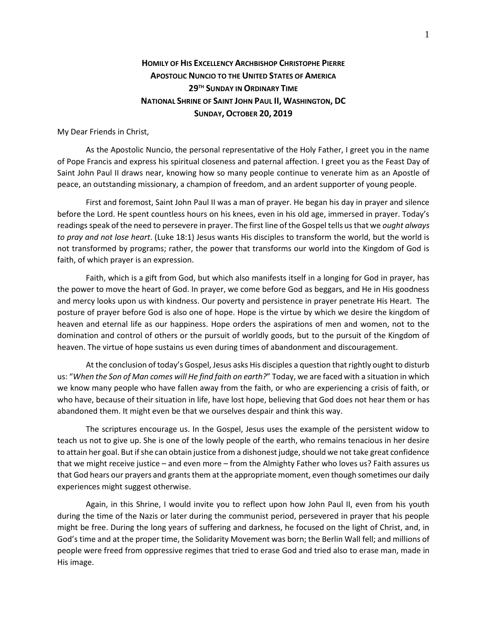## **HOMILY OF HIS EXCELLENCY ARCHBISHOP CHRISTOPHE PIERRE APOSTOLIC NUNCIO TO THE UNITED STATES OF AMERICA 29TH SUNDAY IN ORDINARY TIME NATIONAL SHRINE OF SAINT JOHN PAUL II, WASHINGTON, DC SUNDAY, OCTOBER 20, 2019**

My Dear Friends in Christ,

As the Apostolic Nuncio, the personal representative of the Holy Father, I greet you in the name of Pope Francis and express his spiritual closeness and paternal affection. I greet you as the Feast Day of Saint John Paul II draws near, knowing how so many people continue to venerate him as an Apostle of peace, an outstanding missionary, a champion of freedom, and an ardent supporter of young people.

First and foremost, Saint John Paul II was a man of prayer. He began his day in prayer and silence before the Lord. He spent countless hours on his knees, even in his old age, immersed in prayer. Today's readings speak of the need to persevere in prayer. The first line of the Gospel tells us that we *ought always to pray and not lose heart*. (Luke 18:1) Jesus wants His disciples to transform the world, but the world is not transformed by programs; rather, the power that transforms our world into the Kingdom of God is faith, of which prayer is an expression.

Faith, which is a gift from God, but which also manifests itself in a longing for God in prayer, has the power to move the heart of God. In prayer, we come before God as beggars, and He in His goodness and mercy looks upon us with kindness. Our poverty and persistence in prayer penetrate His Heart. The posture of prayer before God is also one of hope. Hope is the virtue by which we desire the kingdom of heaven and eternal life as our happiness. Hope orders the aspirations of men and women, not to the domination and control of others or the pursuit of worldly goods, but to the pursuit of the Kingdom of heaven. The virtue of hope sustains us even during times of abandonment and discouragement.

At the conclusion of today's Gospel, Jesus asks His disciples a question that rightly ought to disturb us: "*When the Son of Man comes will He find faith on earth?*" Today, we are faced with a situation in which we know many people who have fallen away from the faith, or who are experiencing a crisis of faith, or who have, because of their situation in life, have lost hope, believing that God does not hear them or has abandoned them. It might even be that we ourselves despair and think this way.

The scriptures encourage us. In the Gospel, Jesus uses the example of the persistent widow to teach us not to give up. She is one of the lowly people of the earth, who remains tenacious in her desire to attain her goal. But if she can obtain justice from a dishonest judge, should we not take great confidence that we might receive justice – and even more – from the Almighty Father who loves us? Faith assures us that God hears our prayers and grants them at the appropriate moment, even though sometimes our daily experiences might suggest otherwise.

Again, in this Shrine, I would invite you to reflect upon how John Paul II, even from his youth during the time of the Nazis or later during the communist period, persevered in prayer that his people might be free. During the long years of suffering and darkness, he focused on the light of Christ, and, in God's time and at the proper time, the Solidarity Movement was born; the Berlin Wall fell; and millions of people were freed from oppressive regimes that tried to erase God and tried also to erase man, made in His image.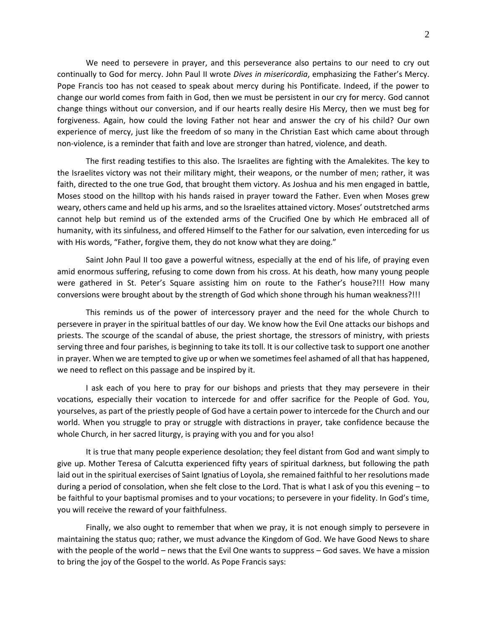We need to persevere in prayer, and this perseverance also pertains to our need to cry out continually to God for mercy. John Paul II wrote *Dives in misericordia*, emphasizing the Father's Mercy. Pope Francis too has not ceased to speak about mercy during his Pontificate. Indeed, if the power to change our world comes from faith in God, then we must be persistent in our cry for mercy. God cannot change things without our conversion, and if our hearts really desire His Mercy, then we must beg for forgiveness. Again, how could the loving Father not hear and answer the cry of his child? Our own experience of mercy, just like the freedom of so many in the Christian East which came about through non-violence, is a reminder that faith and love are stronger than hatred, violence, and death.

The first reading testifies to this also. The Israelites are fighting with the Amalekites. The key to the Israelites victory was not their military might, their weapons, or the number of men; rather, it was faith, directed to the one true God, that brought them victory. As Joshua and his men engaged in battle, Moses stood on the hilltop with his hands raised in prayer toward the Father. Even when Moses grew weary, others came and held up his arms, and so the Israelites attained victory. Moses' outstretched arms cannot help but remind us of the extended arms of the Crucified One by which He embraced all of humanity, with its sinfulness, and offered Himself to the Father for our salvation, even interceding for us with His words, "Father, forgive them, they do not know what they are doing."

Saint John Paul II too gave a powerful witness, especially at the end of his life, of praying even amid enormous suffering, refusing to come down from his cross. At his death, how many young people were gathered in St. Peter's Square assisting him on route to the Father's house?!!! How many conversions were brought about by the strength of God which shone through his human weakness?!!!

This reminds us of the power of intercessory prayer and the need for the whole Church to persevere in prayer in the spiritual battles of our day. We know how the Evil One attacks our bishops and priests. The scourge of the scandal of abuse, the priest shortage, the stressors of ministry, with priests serving three and four parishes, is beginning to take its toll. It is our collective task to support one another in prayer. When we are tempted to give up or when we sometimes feel ashamed of all that has happened, we need to reflect on this passage and be inspired by it.

I ask each of you here to pray for our bishops and priests that they may persevere in their vocations, especially their vocation to intercede for and offer sacrifice for the People of God. You, yourselves, as part of the priestly people of God have a certain power to intercede for the Church and our world. When you struggle to pray or struggle with distractions in prayer, take confidence because the whole Church, in her sacred liturgy, is praying with you and for you also!

It is true that many people experience desolation; they feel distant from God and want simply to give up. Mother Teresa of Calcutta experienced fifty years of spiritual darkness, but following the path laid out in the spiritual exercises of Saint Ignatius of Loyola, she remained faithful to her resolutions made during a period of consolation, when she felt close to the Lord. That is what I ask of you this evening – to be faithful to your baptismal promises and to your vocations; to persevere in your fidelity. In God's time, you will receive the reward of your faithfulness.

Finally, we also ought to remember that when we pray, it is not enough simply to persevere in maintaining the status quo; rather, we must advance the Kingdom of God. We have Good News to share with the people of the world – news that the Evil One wants to suppress – God saves. We have a mission to bring the joy of the Gospel to the world. As Pope Francis says: